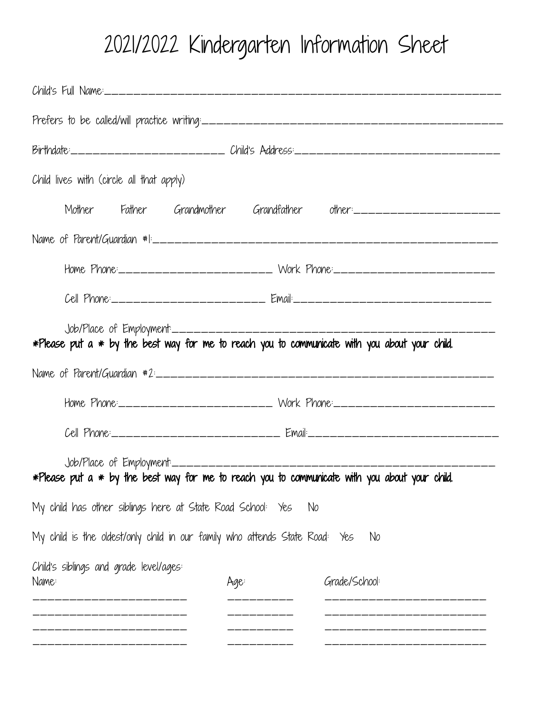## 2021/2022 Kindergarten Information Sheet

|                                                                             | Birthdate:________________________ Child's Address:_____________________________                   |  |  |  |  |  |
|-----------------------------------------------------------------------------|----------------------------------------------------------------------------------------------------|--|--|--|--|--|
| Child lives with (circle all that apply)                                    |                                                                                                    |  |  |  |  |  |
|                                                                             | Mother Father Grandmother Grandfather other:______________________                                 |  |  |  |  |  |
|                                                                             |                                                                                                    |  |  |  |  |  |
|                                                                             | Home Phone:_________________________ Work Phone:________________________________                   |  |  |  |  |  |
|                                                                             |                                                                                                    |  |  |  |  |  |
|                                                                             | *Please put a * by the best way for me to reach you to communicate with you about your child.      |  |  |  |  |  |
|                                                                             |                                                                                                    |  |  |  |  |  |
|                                                                             | Home Phone:_________________________ Work Phone:________________________________                   |  |  |  |  |  |
|                                                                             |                                                                                                    |  |  |  |  |  |
| $Job/Place$ of $Employment$ ________                                        | $*$ Please put a $*$ by the best way for me to reach you to communicate with you about your child. |  |  |  |  |  |
| My child has other siblings here at State Road School: Yes                  | No                                                                                                 |  |  |  |  |  |
| My child is the oldest/only child in our family who attends State Road: Yes | No                                                                                                 |  |  |  |  |  |
| Child's siblings and grade level/ages:<br>Name:                             | Grade/School:<br>Age:                                                                              |  |  |  |  |  |
|                                                                             |                                                                                                    |  |  |  |  |  |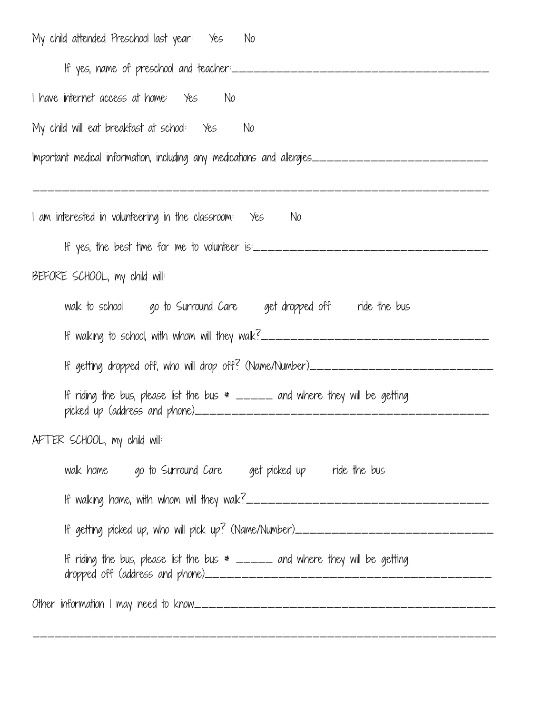| My child attended Preschool last year: Yes No                                                                                                      |  |  |  |  |
|----------------------------------------------------------------------------------------------------------------------------------------------------|--|--|--|--|
| If yes, name of preschool and teacher:_____________________________                                                                                |  |  |  |  |
| I have internet access at home: Yes No                                                                                                             |  |  |  |  |
| My child will eat breakfast at school: Yes No                                                                                                      |  |  |  |  |
| Important medical information, including any medications and allergies_____________________________                                                |  |  |  |  |
| I am interested in volunteering in the classroom:   Yes     No                                                                                     |  |  |  |  |
| If yes, the best time for me to volunteer is:___________________________________                                                                   |  |  |  |  |
| BEFORE SCHOOL, my child will:                                                                                                                      |  |  |  |  |
| walk to school ogo to Surround Care oget dropped off ride the bus                                                                                  |  |  |  |  |
| If walking to school, with whom will they walk?_________________________________                                                                   |  |  |  |  |
| If getting dropped off, who will drop off? (Name/Number)________________________                                                                   |  |  |  |  |
| If riding the bus, please list the bus $*$ _____ and where they will be getting<br>picked up (address and phone)__________________________________ |  |  |  |  |
| AFTER SCHOOL, my child will:                                                                                                                       |  |  |  |  |
| walk home go to Surround Care get picked up ride the bus                                                                                           |  |  |  |  |
|                                                                                                                                                    |  |  |  |  |
| If getting picked up, who will pick up? (Name/Number)____________________________                                                                  |  |  |  |  |
| If riding the bus, please list the bus $*$ _____ and where they will be getting                                                                    |  |  |  |  |
|                                                                                                                                                    |  |  |  |  |

\_\_\_\_\_\_\_\_\_\_\_\_\_\_\_\_\_\_\_\_\_\_\_\_\_\_\_\_\_\_\_\_\_\_\_\_\_\_\_\_\_\_\_\_\_\_\_\_\_\_\_\_\_\_\_\_\_\_\_\_\_\_\_